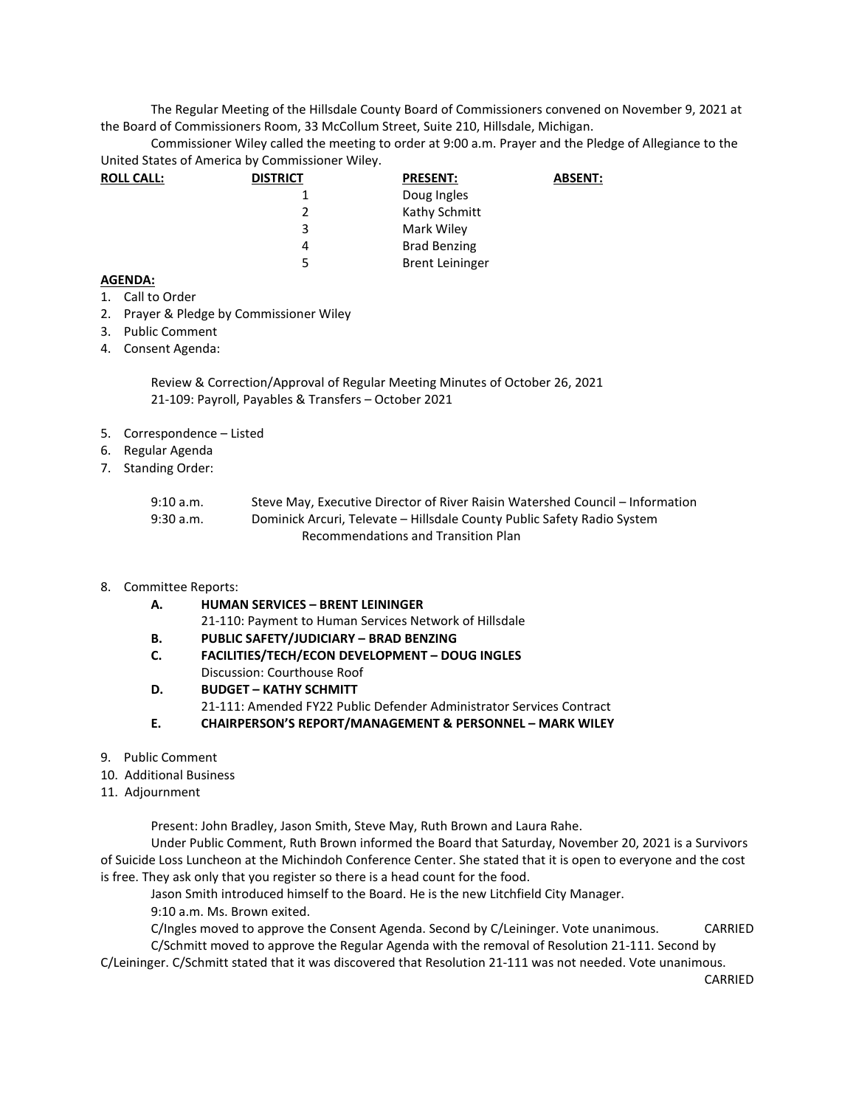The Regular Meeting of the Hillsdale County Board of Commissioners convened on November 9, 2021 at the Board of Commissioners Room, 33 McCollum Street, Suite 210, Hillsdale, Michigan.

Commissioner Wiley called the meeting to order at 9:00 a.m. Prayer and the Pledge of Allegiance to the United States of America by Commissioner Wiley.

| <b>ROLL CALL:</b> | <b>DISTRICT</b> | <b>PRESENT:</b>        | <b>ABSENT:</b> |
|-------------------|-----------------|------------------------|----------------|
|                   |                 | Doug Ingles            |                |
|                   |                 | Kathy Schmitt          |                |
|                   | 3               | Mark Wiley             |                |
|                   | 4               | <b>Brad Benzing</b>    |                |
|                   | 5               | <b>Brent Leininger</b> |                |

## **AGENDA:**

- 1. Call to Order
- 2. Prayer & Pledge by Commissioner Wiley
- 3. Public Comment
- 4. Consent Agenda:

Review & Correction/Approval of Regular Meeting Minutes of October 26, 2021 21-109: Payroll, Payables & Transfers – October 2021

- 5. Correspondence Listed
- 6. Regular Agenda
- 7. Standing Order:

| 9:10 a.m.   | Steve May, Executive Director of River Raisin Watershed Council – Information |
|-------------|-------------------------------------------------------------------------------|
| $9:30$ a.m. | Dominick Arcuri, Televate – Hillsdale County Public Safety Radio System       |
|             | Recommendations and Transition Plan                                           |

- 8. Committee Reports:
	- **A. HUMAN SERVICES BRENT LEININGER** 
		- 21-110: Payment to Human Services Network of Hillsdale
	- **B. PUBLIC SAFETY/JUDICIARY BRAD BENZING**
	- **C. FACILITIES/TECH/ECON DEVELOPMENT DOUG INGLES**  Discussion: Courthouse Roof
	- **D. BUDGET KATHY SCHMITT**
	- 21-111: Amended FY22 Public Defender Administrator Services Contract
	- **E. CHAIRPERSON'S REPORT/MANAGEMENT & PERSONNEL MARK WILEY**
- 9. Public Comment
- 10. Additional Business
- 11. Adjournment

Present: John Bradley, Jason Smith, Steve May, Ruth Brown and Laura Rahe.

Under Public Comment, Ruth Brown informed the Board that Saturday, November 20, 2021 is a Survivors of Suicide Loss Luncheon at the Michindoh Conference Center. She stated that it is open to everyone and the cost is free. They ask only that you register so there is a head count for the food.

Jason Smith introduced himself to the Board. He is the new Litchfield City Manager.

9:10 a.m. Ms. Brown exited.

C/Ingles moved to approve the Consent Agenda. Second by C/Leininger. Vote unanimous. CARRIED C/Schmitt moved to approve the Regular Agenda with the removal of Resolution 21-111. Second by

C/Leininger. C/Schmitt stated that it was discovered that Resolution 21-111 was not needed. Vote unanimous.

CARRIED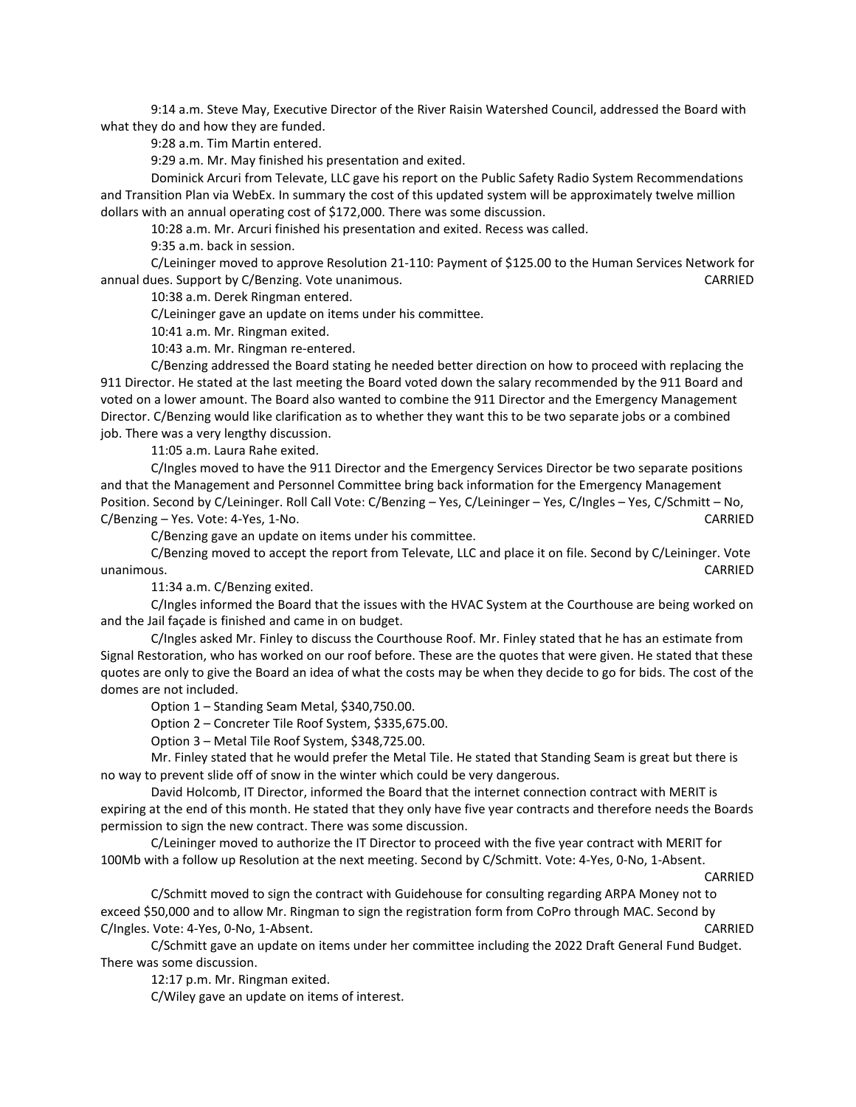9:14 a.m. Steve May, Executive Director of the River Raisin Watershed Council, addressed the Board with what they do and how they are funded.

9:28 a.m. Tim Martin entered.

9:29 a.m. Mr. May finished his presentation and exited.

Dominick Arcuri from Televate, LLC gave his report on the Public Safety Radio System Recommendations and Transition Plan via WebEx. In summary the cost of this updated system will be approximately twelve million dollars with an annual operating cost of \$172,000. There was some discussion.

10:28 a.m. Mr. Arcuri finished his presentation and exited. Recess was called.

9:35 a.m. back in session.

C/Leininger moved to approve Resolution 21-110: Payment of \$125.00 to the Human Services Network for annual dues. Support by C/Benzing. Vote unanimous. CARRIED

10:38 a.m. Derek Ringman entered.

C/Leininger gave an update on items under his committee.

10:41 a.m. Mr. Ringman exited.

10:43 a.m. Mr. Ringman re-entered.

C/Benzing addressed the Board stating he needed better direction on how to proceed with replacing the 911 Director. He stated at the last meeting the Board voted down the salary recommended by the 911 Board and voted on a lower amount. The Board also wanted to combine the 911 Director and the Emergency Management Director. C/Benzing would like clarification as to whether they want this to be two separate jobs or a combined job. There was a very lengthy discussion.

11:05 a.m. Laura Rahe exited.

C/Ingles moved to have the 911 Director and the Emergency Services Director be two separate positions and that the Management and Personnel Committee bring back information for the Emergency Management Position. Second by C/Leininger. Roll Call Vote: C/Benzing – Yes, C/Leininger – Yes, C/Ingles – Yes, C/Schmitt – No, C/Benzing – Yes. Vote: 4-Yes, 1-No. CARRIED

C/Benzing gave an update on items under his committee.

C/Benzing moved to accept the report from Televate, LLC and place it on file. Second by C/Leininger. Vote unanimous. CARRIED

11:34 a.m. C/Benzing exited.

C/Ingles informed the Board that the issues with the HVAC System at the Courthouse are being worked on and the Jail façade is finished and came in on budget.

C/Ingles asked Mr. Finley to discuss the Courthouse Roof. Mr. Finley stated that he has an estimate from Signal Restoration, who has worked on our roof before. These are the quotes that were given. He stated that these quotes are only to give the Board an idea of what the costs may be when they decide to go for bids. The cost of the domes are not included.

Option 1 – Standing Seam Metal, \$340,750.00.

Option 2 – Concreter Tile Roof System, \$335,675.00.

Option 3 – Metal Tile Roof System, \$348,725.00.

Mr. Finley stated that he would prefer the Metal Tile. He stated that Standing Seam is great but there is no way to prevent slide off of snow in the winter which could be very dangerous.

David Holcomb, IT Director, informed the Board that the internet connection contract with MERIT is expiring at the end of this month. He stated that they only have five year contracts and therefore needs the Boards permission to sign the new contract. There was some discussion.

C/Leininger moved to authorize the IT Director to proceed with the five year contract with MERIT for 100Mb with a follow up Resolution at the next meeting. Second by C/Schmitt. Vote: 4-Yes, 0-No, 1-Absent.

CARRIED

C/Schmitt moved to sign the contract with Guidehouse for consulting regarding ARPA Money not to exceed \$50,000 and to allow Mr. Ringman to sign the registration form from CoPro through MAC. Second by C/Ingles. Vote: 4-Yes, 0-No, 1-Absent. CARRIED

C/Schmitt gave an update on items under her committee including the 2022 Draft General Fund Budget. There was some discussion.

12:17 p.m. Mr. Ringman exited.

C/Wiley gave an update on items of interest.